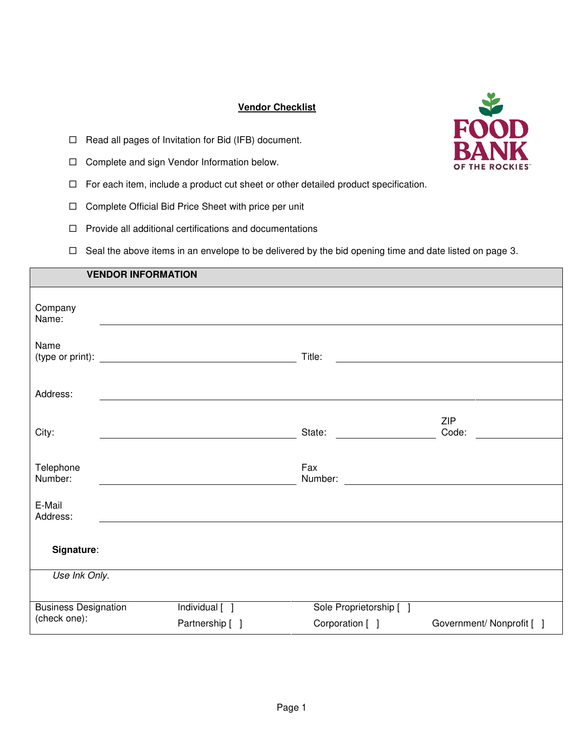# **Vendor Checklist**

- $\Box$  Read all pages of Invitation for Bid (IFB) document.
- □ Complete and sign Vendor Information below.
- $\Box$  For each item, include a product cut sheet or other detailed product specification.
- □ Complete Official Bid Price Sheet with price per unit
- $\Box$  Provide all additional certifications and documentations
- $\Box$  Seal the above items in an envelope to be delivered by the bid opening time and date listed on page 3.

|                             | <b>VENDOR INFORMATION</b> |                 |                         |                           |
|-----------------------------|---------------------------|-----------------|-------------------------|---------------------------|
| Company<br>Name:            |                           |                 |                         |                           |
| Name                        |                           |                 | Title:                  |                           |
| Address:                    |                           |                 |                         |                           |
| City:                       |                           |                 | State:                  | <b>ZIP</b><br>Code:       |
| Telephone<br>Number:        |                           |                 | Fax                     |                           |
| E-Mail<br>Address:          |                           |                 |                         |                           |
| Signature:                  |                           |                 |                         |                           |
| Use Ink Only.               |                           |                 |                         |                           |
| <b>Business Designation</b> |                           | Individual [ ]  | Sole Proprietorship [ ] |                           |
| (check one):                |                           | Partnership [ ] | Corporation [ ]         | Government/ Nonprofit [ ] |

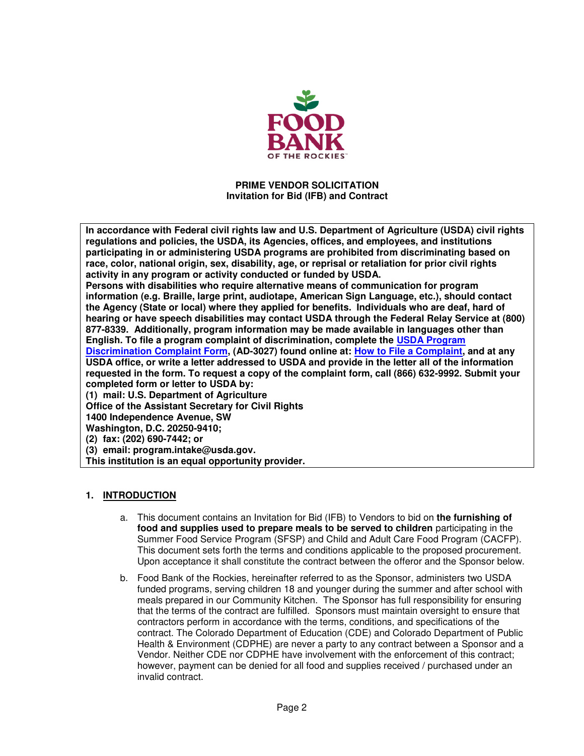

#### **PRIME VENDOR SOLICITATION Invitation for Bid (IFB) and Contract**

**In accordance with Federal civil rights law and U.S. Department of Agriculture (USDA) civil rights regulations and policies, the USDA, its Agencies, offices, and employees, and institutions participating in or administering USDA programs are prohibited from discriminating based on race, color, national origin, sex, disability, age, or reprisal or retaliation for prior civil rights activity in any program or activity conducted or funded by USDA.** 

**Persons with disabilities who require alternative means of communication for program information (e.g. Braille, large print, audiotape, American Sign Language, etc.), should contact the Agency (State or local) where they applied for benefits. Individuals who are deaf, hard of hearing or have speech disabilities may contact USDA through the Federal Relay Service at (800) 877-8339. Additionally, program information may be made available in languages other than English. To file a program complaint of discrimination, complete the [USDA Program](http://www.ocio.usda.gov/sites/default/files/docs/2012/Complain_combined_6_8_12.pdf) [Discrimination Complaint Form,](http://www.ocio.usda.gov/sites/default/files/docs/2012/Complain_combined_6_8_12.pdf) (AD-3027) found online at: [How to File a Complaint,](http://www.ascr.usda.gov/complaint_filing_cust.html) and at any USDA office, or write a letter addressed to USDA and provide in the letter all of the information requested in the form. To request a copy of the complaint form, call (866) 632-9992. Submit your completed form or letter to USDA by:**

**(1) mail: U.S. Department of Agriculture**

**Office of the Assistant Secretary for Civil Rights**

**1400 Independence Avenue, SW**

**Washington, D.C. 20250-9410;**

**(2) fax: (202) 690-7442; or**

**(3) email: program.intake@usda.gov.**

**This institution is an equal opportunity provider.**

### **1. INTRODUCTION**

- a. This document contains an Invitation for Bid (IFB) to Vendors to bid on **the furnishing of food and supplies used to prepare meals to be served to children** participating in the Summer Food Service Program (SFSP) and Child and Adult Care Food Program (CACFP). This document sets forth the terms and conditions applicable to the proposed procurement. Upon acceptance it shall constitute the contract between the offeror and the Sponsor below.
- b. Food Bank of the Rockies, hereinafter referred to as the Sponsor, administers two USDA funded programs, serving children 18 and younger during the summer and after school with meals prepared in our Community Kitchen. The Sponsor has full responsibility for ensuring that the terms of the contract are fulfilled. Sponsors must maintain oversight to ensure that contractors perform in accordance with the terms, conditions, and specifications of the contract. The Colorado Department of Education (CDE) and Colorado Department of Public Health & Environment (CDPHE) are never a party to any contract between a Sponsor and a Vendor. Neither CDE nor CDPHE have involvement with the enforcement of this contract; however, payment can be denied for all food and supplies received / purchased under an invalid contract.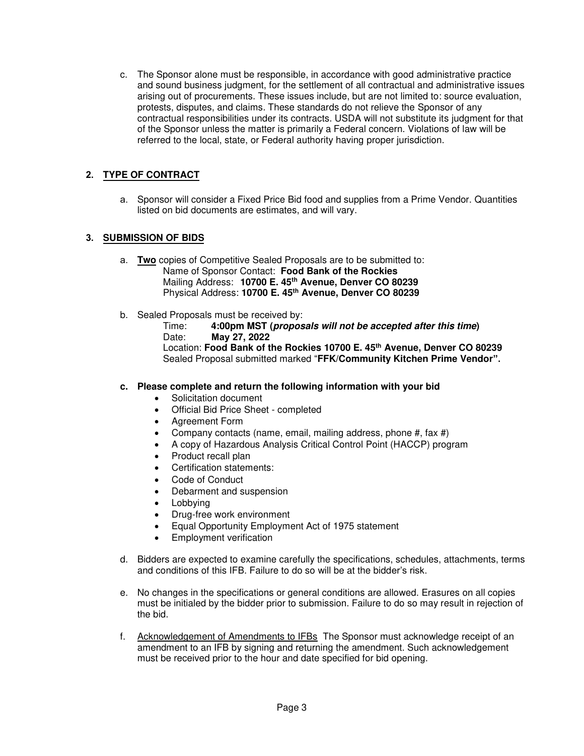c. The Sponsor alone must be responsible, in accordance with good administrative practice and sound business judgment, for the settlement of all contractual and administrative issues arising out of procurements. These issues include, but are not limited to: source evaluation, protests, disputes, and claims. These standards do not relieve the Sponsor of any contractual responsibilities under its contracts. USDA will not substitute its judgment for that of the Sponsor unless the matter is primarily a Federal concern. Violations of law will be referred to the local, state, or Federal authority having proper jurisdiction.

# **2. TYPE OF CONTRACT**

a. Sponsor will consider a Fixed Price Bid food and supplies from a Prime Vendor. Quantities listed on bid documents are estimates, and will vary.

# **3. SUBMISSION OF BIDS**

- a. **Two** copies of Competitive Sealed Proposals are to be submitted to: Name of Sponsor Contact: **Food Bank of the Rockies** Mailing Address: **10700 E. 45th Avenue, Denver CO 80239** Physical Address: **10700 E. 45th Avenue, Denver CO 80239**
- b. Sealed Proposals must be received by:

Time: **4:00pm MST (proposals will not be accepted after this time)** Date: **May 27, 2022** Location: **Food Bank of the Rockies 10700 E. 45th Avenue, Denver CO 80239**

Sealed Proposal submitted marked "**FFK/Community Kitchen Prime Vendor".**

### **c. Please complete and return the following information with your bid**

- Solicitation document
- Official Bid Price Sheet completed
- Agreement Form
- Company contacts (name, email, mailing address, phone #, fax #)
- A copy of Hazardous Analysis Critical Control Point (HACCP) program
- Product recall plan
- Certification statements:
- Code of Conduct
- Debarment and suspension
- **Lobbying**
- Drug-free work environment
- Equal Opportunity Employment Act of 1975 statement
- Employment verification
- d. Bidders are expected to examine carefully the specifications, schedules, attachments, terms and conditions of this IFB. Failure to do so will be at the bidder's risk.
- e. No changes in the specifications or general conditions are allowed. Erasures on all copies must be initialed by the bidder prior to submission. Failure to do so may result in rejection of the bid.
- f. Acknowledgement of Amendments to IFBs The Sponsor must acknowledge receipt of an amendment to an IFB by signing and returning the amendment. Such acknowledgement must be received prior to the hour and date specified for bid opening.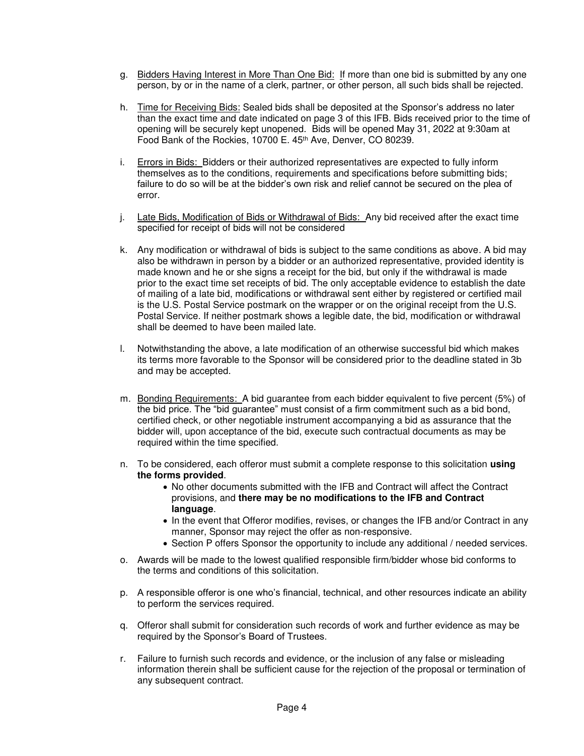- g. Bidders Having Interest in More Than One Bid: If more than one bid is submitted by any one person, by or in the name of a clerk, partner, or other person, all such bids shall be rejected.
- h. Time for Receiving Bids: Sealed bids shall be deposited at the Sponsor's address no later than the exact time and date indicated on page 3 of this IFB. Bids received prior to the time of opening will be securely kept unopened. Bids will be opened May 31, 2022 at 9:30am at Food Bank of the Rockies, 10700 E. 45<sup>th</sup> Ave, Denver, CO 80239.
- i. Errors in Bids: Bidders or their authorized representatives are expected to fully inform themselves as to the conditions, requirements and specifications before submitting bids; failure to do so will be at the bidder's own risk and relief cannot be secured on the plea of error.
- j. Late Bids, Modification of Bids or Withdrawal of Bids: Any bid received after the exact time specified for receipt of bids will not be considered
- k. Any modification or withdrawal of bids is subject to the same conditions as above. A bid may also be withdrawn in person by a bidder or an authorized representative, provided identity is made known and he or she signs a receipt for the bid, but only if the withdrawal is made prior to the exact time set receipts of bid. The only acceptable evidence to establish the date of mailing of a late bid, modifications or withdrawal sent either by registered or certified mail is the U.S. Postal Service postmark on the wrapper or on the original receipt from the U.S. Postal Service. If neither postmark shows a legible date, the bid, modification or withdrawal shall be deemed to have been mailed late.
- l. Notwithstanding the above, a late modification of an otherwise successful bid which makes its terms more favorable to the Sponsor will be considered prior to the deadline stated in 3b and may be accepted.
- m. Bonding Requirements: A bid guarantee from each bidder equivalent to five percent (5%) of the bid price. The "bid guarantee" must consist of a firm commitment such as a bid bond, certified check, or other negotiable instrument accompanying a bid as assurance that the bidder will, upon acceptance of the bid, execute such contractual documents as may be required within the time specified.
- n. To be considered, each offeror must submit a complete response to this solicitation **using the forms provided**.
	- No other documents submitted with the IFB and Contract will affect the Contract provisions, and **there may be no modifications to the IFB and Contract language**.
	- In the event that Offeror modifies, revises, or changes the IFB and/or Contract in any manner, Sponsor may reject the offer as non-responsive.
	- Section P offers Sponsor the opportunity to include any additional / needed services.
- o. Awards will be made to the lowest qualified responsible firm/bidder whose bid conforms to the terms and conditions of this solicitation.
- p. A responsible offeror is one who's financial, technical, and other resources indicate an ability to perform the services required.
- q. Offeror shall submit for consideration such records of work and further evidence as may be required by the Sponsor's Board of Trustees.
- r. Failure to furnish such records and evidence, or the inclusion of any false or misleading information therein shall be sufficient cause for the rejection of the proposal or termination of any subsequent contract.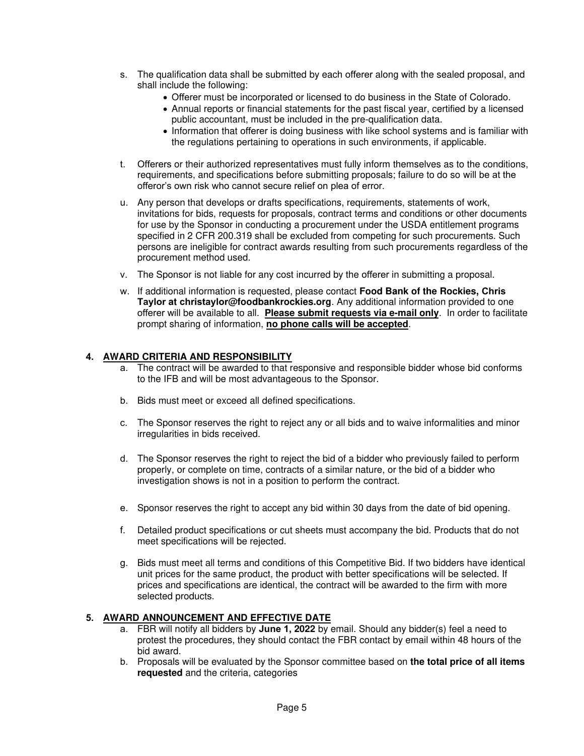- s. The qualification data shall be submitted by each offerer along with the sealed proposal, and shall include the following:
	- Offerer must be incorporated or licensed to do business in the State of Colorado.
	- Annual reports or financial statements for the past fiscal year, certified by a licensed public accountant, must be included in the pre-qualification data.
	- Information that offerer is doing business with like school systems and is familiar with the regulations pertaining to operations in such environments, if applicable.
- t. Offerers or their authorized representatives must fully inform themselves as to the conditions, requirements, and specifications before submitting proposals; failure to do so will be at the offeror's own risk who cannot secure relief on plea of error.
- u. Any person that develops or drafts specifications, requirements, statements of work, invitations for bids, requests for proposals, contract terms and conditions or other documents for use by the Sponsor in conducting a procurement under the USDA entitlement programs specified in 2 CFR 200.319 shall be excluded from competing for such procurements. Such persons are ineligible for contract awards resulting from such procurements regardless of the procurement method used.
- v. The Sponsor is not liable for any cost incurred by the offerer in submitting a proposal.
- w. If additional information is requested, please contact **Food Bank of the Rockies, Chris Taylor at christaylor@foodbankrockies.org**. Any additional information provided to one offerer will be available to all. **Please submit requests via e-mail only**. In order to facilitate prompt sharing of information, **no phone calls will be accepted**.

## **4. AWARD CRITERIA AND RESPONSIBILITY**

- The contract will be awarded to that responsive and responsible bidder whose bid conforms to the IFB and will be most advantageous to the Sponsor.
- b. Bids must meet or exceed all defined specifications.
- c. The Sponsor reserves the right to reject any or all bids and to waive informalities and minor irregularities in bids received.
- d. The Sponsor reserves the right to reject the bid of a bidder who previously failed to perform properly, or complete on time, contracts of a similar nature, or the bid of a bidder who investigation shows is not in a position to perform the contract.
- e. Sponsor reserves the right to accept any bid within 30 days from the date of bid opening.
- f. Detailed product specifications or cut sheets must accompany the bid. Products that do not meet specifications will be rejected.
- g. Bids must meet all terms and conditions of this Competitive Bid. If two bidders have identical unit prices for the same product, the product with better specifications will be selected. If prices and specifications are identical, the contract will be awarded to the firm with more selected products.

### **5. AWARD ANNOUNCEMENT AND EFFECTIVE DATE**

- a. FBR will notify all bidders by **June 1, 2022** by email. Should any bidder(s) feel a need to protest the procedures, they should contact the FBR contact by email within 48 hours of the bid award.
- b. Proposals will be evaluated by the Sponsor committee based on **the total price of all items requested** and the criteria, categories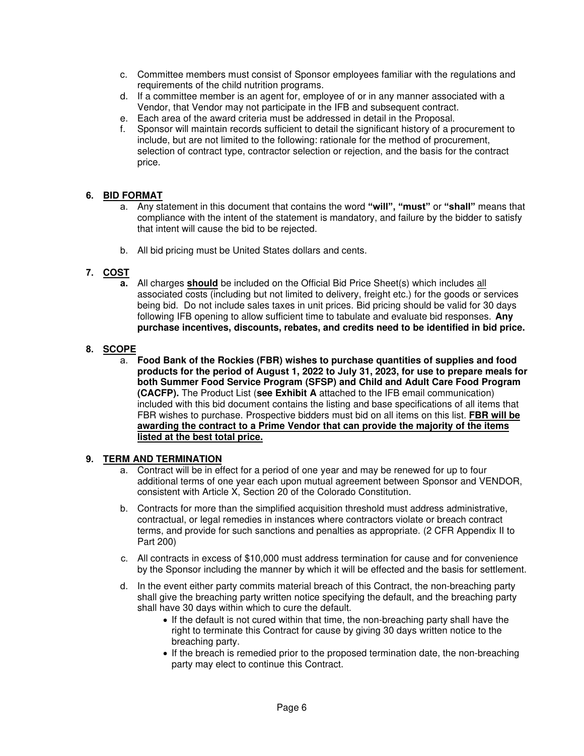- c. Committee members must consist of Sponsor employees familiar with the regulations and requirements of the child nutrition programs.
- d. If a committee member is an agent for, employee of or in any manner associated with a Vendor, that Vendor may not participate in the IFB and subsequent contract.
- e. Each area of the award criteria must be addressed in detail in the Proposal.
- f. Sponsor will maintain records sufficient to detail the significant history of a procurement to include, but are not limited to the following: rationale for the method of procurement, selection of contract type, contractor selection or rejection, and the basis for the contract price.

## **6. BID FORMAT**

- a. Any statement in this document that contains the word **"will", "must"** or **"shall"** means that compliance with the intent of the statement is mandatory, and failure by the bidder to satisfy that intent will cause the bid to be rejected.
- b. All bid pricing must be United States dollars and cents.

# **7. COST**

**a.** All charges **should** be included on the Official Bid Price Sheet(s) which includes all associated costs (including but not limited to delivery, freight etc.) for the goods or services being bid. Do not include sales taxes in unit prices. Bid pricing should be valid for 30 days following IFB opening to allow sufficient time to tabulate and evaluate bid responses. **Any purchase incentives, discounts, rebates, and credits need to be identified in bid price.**

# **8. SCOPE**

a. **Food Bank of the Rockies (FBR) wishes to purchase quantities of supplies and food products for the period of August 1, 2022 to July 31, 2023, for use to prepare meals for both Summer Food Service Program (SFSP) and Child and Adult Care Food Program (CACFP).** The Product List (**see Exhibit A** attached to the IFB email communication) included with this bid document contains the listing and base specifications of all items that FBR wishes to purchase. Prospective bidders must bid on all items on this list. **FBR will be awarding the contract to a Prime Vendor that can provide the majority of the items listed at the best total price.**

### **9. TERM AND TERMINATION**

- a. Contract will be in effect for a period of one year and may be renewed for up to four additional terms of one year each upon mutual agreement between Sponsor and VENDOR, consistent with Article X, Section 20 of the Colorado Constitution.
- b. Contracts for more than the simplified acquisition threshold must address administrative, contractual, or legal remedies in instances where contractors violate or breach contract terms, and provide for such sanctions and penalties as appropriate. (2 CFR Appendix II to Part 200)
- c. All contracts in excess of \$10,000 must address termination for cause and for convenience by the Sponsor including the manner by which it will be effected and the basis for settlement.
- d. In the event either party commits material breach of this Contract, the non-breaching party shall give the breaching party written notice specifying the default, and the breaching party shall have 30 days within which to cure the default.
	- If the default is not cured within that time, the non-breaching party shall have the right to terminate this Contract for cause by giving 30 days written notice to the breaching party.
	- If the breach is remedied prior to the proposed termination date, the non-breaching party may elect to continue this Contract.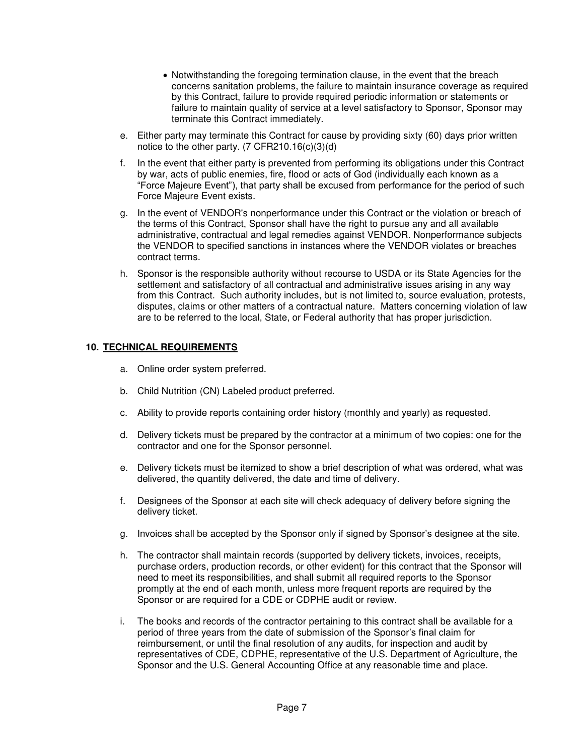- Notwithstanding the foregoing termination clause, in the event that the breach concerns sanitation problems, the failure to maintain insurance coverage as required by this Contract, failure to provide required periodic information or statements or failure to maintain quality of service at a level satisfactory to Sponsor, Sponsor may terminate this Contract immediately.
- e. Either party may terminate this Contract for cause by providing sixty (60) days prior written notice to the other party. (7 CFR210.16(c)(3)(d)
- f. In the event that either party is prevented from performing its obligations under this Contract by war, acts of public enemies, fire, flood or acts of God (individually each known as a "Force Majeure Event"), that party shall be excused from performance for the period of such Force Majeure Event exists.
- g. In the event of VENDOR's nonperformance under this Contract or the violation or breach of the terms of this Contract, Sponsor shall have the right to pursue any and all available administrative, contractual and legal remedies against VENDOR. Nonperformance subjects the VENDOR to specified sanctions in instances where the VENDOR violates or breaches contract terms.
- h. Sponsor is the responsible authority without recourse to USDA or its State Agencies for the settlement and satisfactory of all contractual and administrative issues arising in any way from this Contract. Such authority includes, but is not limited to, source evaluation, protests, disputes, claims or other matters of a contractual nature. Matters concerning violation of law are to be referred to the local, State, or Federal authority that has proper jurisdiction.

### **10. TECHNICAL REQUIREMENTS**

- a. Online order system preferred.
- b. Child Nutrition (CN) Labeled product preferred.
- c. Ability to provide reports containing order history (monthly and yearly) as requested.
- d. Delivery tickets must be prepared by the contractor at a minimum of two copies: one for the contractor and one for the Sponsor personnel.
- e. Delivery tickets must be itemized to show a brief description of what was ordered, what was delivered, the quantity delivered, the date and time of delivery.
- f. Designees of the Sponsor at each site will check adequacy of delivery before signing the delivery ticket.
- g. Invoices shall be accepted by the Sponsor only if signed by Sponsor's designee at the site.
- h. The contractor shall maintain records (supported by delivery tickets, invoices, receipts, purchase orders, production records, or other evident) for this contract that the Sponsor will need to meet its responsibilities, and shall submit all required reports to the Sponsor promptly at the end of each month, unless more frequent reports are required by the Sponsor or are required for a CDE or CDPHE audit or review.
- i. The books and records of the contractor pertaining to this contract shall be available for a period of three years from the date of submission of the Sponsor's final claim for reimbursement, or until the final resolution of any audits, for inspection and audit by representatives of CDE, CDPHE, representative of the U.S. Department of Agriculture, the Sponsor and the U.S. General Accounting Office at any reasonable time and place.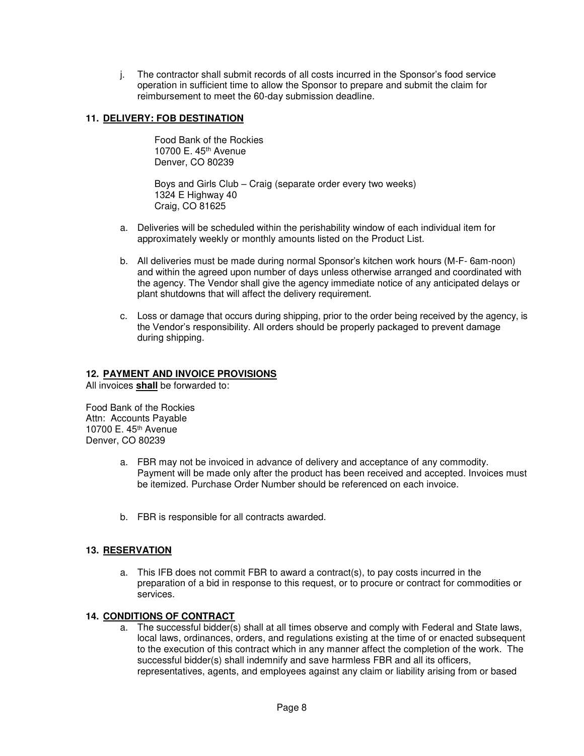j. The contractor shall submit records of all costs incurred in the Sponsor's food service operation in sufficient time to allow the Sponsor to prepare and submit the claim for reimbursement to meet the 60-day submission deadline.

## **11. DELIVERY: FOB DESTINATION**

Food Bank of the Rockies 10700 E. 45th Avenue Denver, CO 80239

Boys and Girls Club – Craig (separate order every two weeks) 1324 E Highway 40 Craig, CO 81625

- a. Deliveries will be scheduled within the perishability window of each individual item for approximately weekly or monthly amounts listed on the Product List.
- b. All deliveries must be made during normal Sponsor's kitchen work hours (M-F- 6am-noon) and within the agreed upon number of days unless otherwise arranged and coordinated with the agency. The Vendor shall give the agency immediate notice of any anticipated delays or plant shutdowns that will affect the delivery requirement.
- c. Loss or damage that occurs during shipping, prior to the order being received by the agency, is the Vendor's responsibility. All orders should be properly packaged to prevent damage during shipping.

#### **12. PAYMENT AND INVOICE PROVISIONS**

All invoices **shall** be forwarded to:

Food Bank of the Rockies Attn: Accounts Payable 10700 E. 45th Avenue Denver, CO 80239

- a. FBR may not be invoiced in advance of delivery and acceptance of any commodity. Payment will be made only after the product has been received and accepted. Invoices must be itemized. Purchase Order Number should be referenced on each invoice.
- b. FBR is responsible for all contracts awarded.

### **13. RESERVATION**

a. This IFB does not commit FBR to award a contract(s), to pay costs incurred in the preparation of a bid in response to this request, or to procure or contract for commodities or services.

#### **14. CONDITIONS OF CONTRACT**

a. The successful bidder(s) shall at all times observe and comply with Federal and State laws, local laws, ordinances, orders, and regulations existing at the time of or enacted subsequent to the execution of this contract which in any manner affect the completion of the work. The successful bidder(s) shall indemnify and save harmless FBR and all its officers, representatives, agents, and employees against any claim or liability arising from or based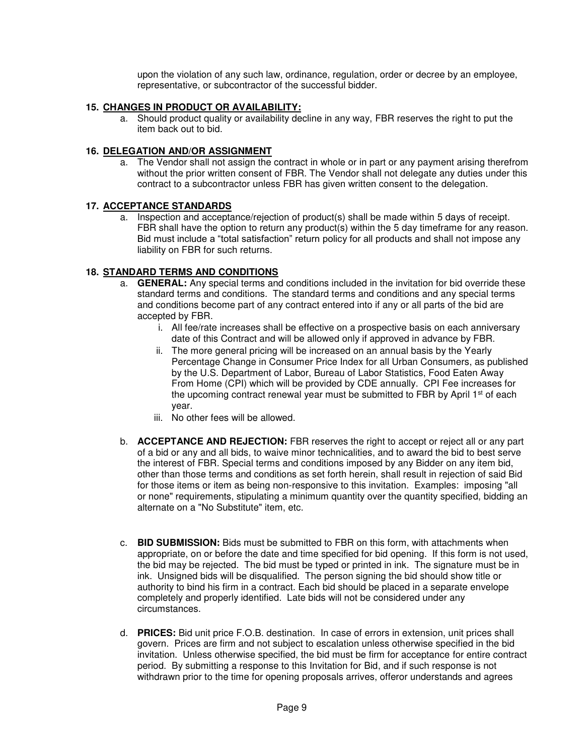upon the violation of any such law, ordinance, regulation, order or decree by an employee, representative, or subcontractor of the successful bidder.

## **15. CHANGES IN PRODUCT OR AVAILABILITY:**

a. Should product quality or availability decline in any way, FBR reserves the right to put the item back out to bid.

### **16. DELEGATION AND/OR ASSIGNMENT**

a. The Vendor shall not assign the contract in whole or in part or any payment arising therefrom without the prior written consent of FBR. The Vendor shall not delegate any duties under this contract to a subcontractor unless FBR has given written consent to the delegation.

### **17. ACCEPTANCE STANDARDS**

a. Inspection and acceptance/rejection of product(s) shall be made within 5 days of receipt. FBR shall have the option to return any product(s) within the 5 day timeframe for any reason. Bid must include a "total satisfaction" return policy for all products and shall not impose any liability on FBR for such returns.

### **18. STANDARD TERMS AND CONDITIONS**

- a. **GENERAL:** Any special terms and conditions included in the invitation for bid override these standard terms and conditions. The standard terms and conditions and any special terms and conditions become part of any contract entered into if any or all parts of the bid are accepted by FBR.
	- i. All fee/rate increases shall be effective on a prospective basis on each anniversary date of this Contract and will be allowed only if approved in advance by FBR.
	- ii. The more general pricing will be increased on an annual basis by the Yearly Percentage Change in Consumer Price Index for all Urban Consumers, as published by the U.S. Department of Labor, Bureau of Labor Statistics, Food Eaten Away From Home (CPI) which will be provided by CDE annually. CPI Fee increases for the upcoming contract renewal year must be submitted to FBR by April 1<sup>st</sup> of each year.
	- iii. No other fees will be allowed.
- b. **ACCEPTANCE AND REJECTION:** FBR reserves the right to accept or reject all or any part of a bid or any and all bids, to waive minor technicalities, and to award the bid to best serve the interest of FBR. Special terms and conditions imposed by any Bidder on any item bid, other than those terms and conditions as set forth herein, shall result in rejection of said Bid for those items or item as being non-responsive to this invitation. Examples: imposing "all or none" requirements, stipulating a minimum quantity over the quantity specified, bidding an alternate on a "No Substitute" item, etc.
- c. **BID SUBMISSION:** Bids must be submitted to FBR on this form, with attachments when appropriate, on or before the date and time specified for bid opening. If this form is not used, the bid may be rejected. The bid must be typed or printed in ink. The signature must be in ink. Unsigned bids will be disqualified. The person signing the bid should show title or authority to bind his firm in a contract. Each bid should be placed in a separate envelope completely and properly identified. Late bids will not be considered under any circumstances.
- d. **PRICES:** Bid unit price F.O.B. destination. In case of errors in extension, unit prices shall govern. Prices are firm and not subject to escalation unless otherwise specified in the bid invitation. Unless otherwise specified, the bid must be firm for acceptance for entire contract period. By submitting a response to this Invitation for Bid, and if such response is not withdrawn prior to the time for opening proposals arrives, offeror understands and agrees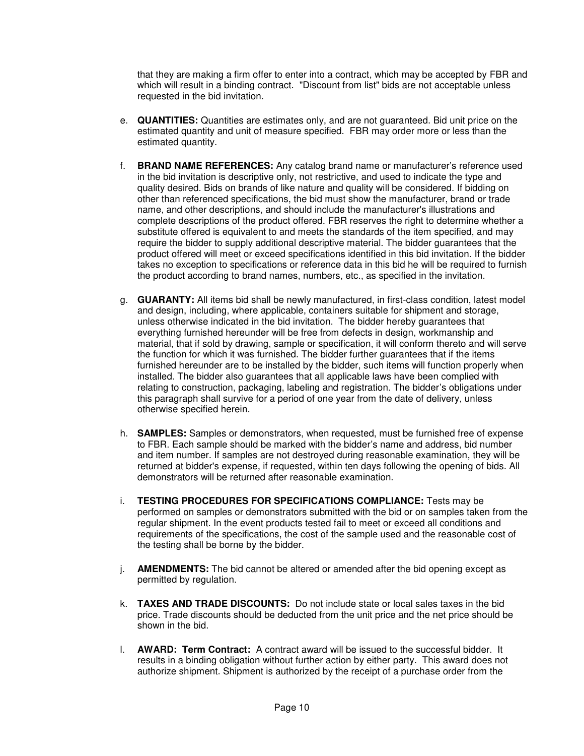that they are making a firm offer to enter into a contract, which may be accepted by FBR and which will result in a binding contract. "Discount from list" bids are not acceptable unless requested in the bid invitation.

- e. **QUANTITIES:** Quantities are estimates only, and are not guaranteed. Bid unit price on the estimated quantity and unit of measure specified. FBR may order more or less than the estimated quantity.
- f. **BRAND NAME REFERENCES:** Any catalog brand name or manufacturer's reference used in the bid invitation is descriptive only, not restrictive, and used to indicate the type and quality desired. Bids on brands of like nature and quality will be considered. If bidding on other than referenced specifications, the bid must show the manufacturer, brand or trade name, and other descriptions, and should include the manufacturer's illustrations and complete descriptions of the product offered. FBR reserves the right to determine whether a substitute offered is equivalent to and meets the standards of the item specified, and may require the bidder to supply additional descriptive material. The bidder guarantees that the product offered will meet or exceed specifications identified in this bid invitation. If the bidder takes no exception to specifications or reference data in this bid he will be required to furnish the product according to brand names, numbers, etc., as specified in the invitation.
- g. **GUARANTY:** All items bid shall be newly manufactured, in first-class condition, latest model and design, including, where applicable, containers suitable for shipment and storage, unless otherwise indicated in the bid invitation. The bidder hereby guarantees that everything furnished hereunder will be free from defects in design, workmanship and material, that if sold by drawing, sample or specification, it will conform thereto and will serve the function for which it was furnished. The bidder further guarantees that if the items furnished hereunder are to be installed by the bidder, such items will function properly when installed. The bidder also guarantees that all applicable laws have been complied with relating to construction, packaging, labeling and registration. The bidder's obligations under this paragraph shall survive for a period of one year from the date of delivery, unless otherwise specified herein.
- h. **SAMPLES:** Samples or demonstrators, when requested, must be furnished free of expense to FBR. Each sample should be marked with the bidder's name and address, bid number and item number. If samples are not destroyed during reasonable examination, they will be returned at bidder's expense, if requested, within ten days following the opening of bids. All demonstrators will be returned after reasonable examination.
- i. **TESTING PROCEDURES FOR SPECIFICATIONS COMPLIANCE:** Tests may be performed on samples or demonstrators submitted with the bid or on samples taken from the regular shipment. In the event products tested fail to meet or exceed all conditions and requirements of the specifications, the cost of the sample used and the reasonable cost of the testing shall be borne by the bidder.
- j. **AMENDMENTS:** The bid cannot be altered or amended after the bid opening except as permitted by regulation.
- k. **TAXES AND TRADE DISCOUNTS:** Do not include state or local sales taxes in the bid price. Trade discounts should be deducted from the unit price and the net price should be shown in the bid.
- l. **AWARD: Term Contract:** A contract award will be issued to the successful bidder. It results in a binding obligation without further action by either party. This award does not authorize shipment. Shipment is authorized by the receipt of a purchase order from the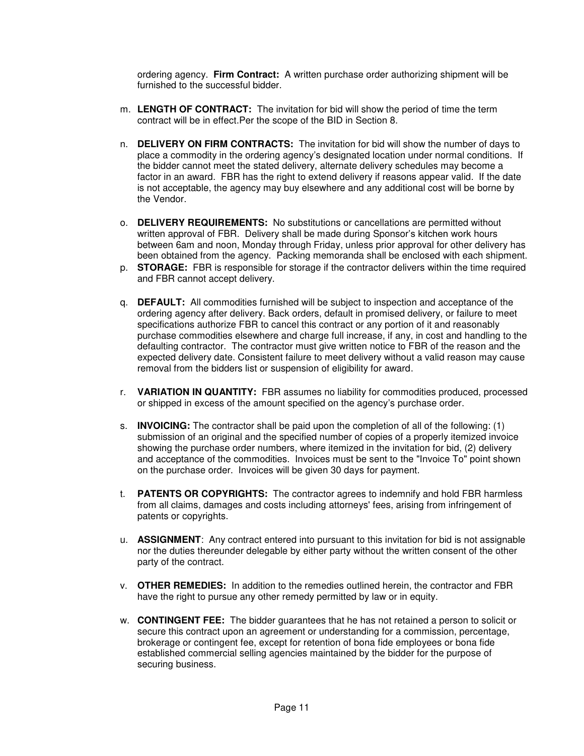ordering agency. **Firm Contract:** A written purchase order authorizing shipment will be furnished to the successful bidder.

- m. **LENGTH OF CONTRACT:** The invitation for bid will show the period of time the term contract will be in effect.Per the scope of the BID in Section 8.
- n. **DELIVERY ON FIRM CONTRACTS:** The invitation for bid will show the number of days to place a commodity in the ordering agency's designated location under normal conditions. If the bidder cannot meet the stated delivery, alternate delivery schedules may become a factor in an award. FBR has the right to extend delivery if reasons appear valid. If the date is not acceptable, the agency may buy elsewhere and any additional cost will be borne by the Vendor.
- o. **DELIVERY REQUIREMENTS:** No substitutions or cancellations are permitted without written approval of FBR. Delivery shall be made during Sponsor's kitchen work hours between 6am and noon, Monday through Friday, unless prior approval for other delivery has been obtained from the agency. Packing memoranda shall be enclosed with each shipment.
- p. **STORAGE:** FBR is responsible for storage if the contractor delivers within the time required and FBR cannot accept delivery.
- q. **DEFAULT:** All commodities furnished will be subject to inspection and acceptance of the ordering agency after delivery. Back orders, default in promised delivery, or failure to meet specifications authorize FBR to cancel this contract or any portion of it and reasonably purchase commodities elsewhere and charge full increase, if any, in cost and handling to the defaulting contractor. The contractor must give written notice to FBR of the reason and the expected delivery date. Consistent failure to meet delivery without a valid reason may cause removal from the bidders list or suspension of eligibility for award.
- r. **VARIATION IN QUANTITY:** FBR assumes no liability for commodities produced, processed or shipped in excess of the amount specified on the agency's purchase order.
- s. **INVOICING:** The contractor shall be paid upon the completion of all of the following: (1) submission of an original and the specified number of copies of a properly itemized invoice showing the purchase order numbers, where itemized in the invitation for bid, (2) delivery and acceptance of the commodities. Invoices must be sent to the "Invoice To" point shown on the purchase order. Invoices will be given 30 days for payment.
- t. **PATENTS OR COPYRIGHTS:** The contractor agrees to indemnify and hold FBR harmless from all claims, damages and costs including attorneys' fees, arising from infringement of patents or copyrights.
- u. **ASSIGNMENT**: Any contract entered into pursuant to this invitation for bid is not assignable nor the duties thereunder delegable by either party without the written consent of the other party of the contract.
- v. **OTHER REMEDIES:** In addition to the remedies outlined herein, the contractor and FBR have the right to pursue any other remedy permitted by law or in equity.
- w. **CONTINGENT FEE:** The bidder guarantees that he has not retained a person to solicit or secure this contract upon an agreement or understanding for a commission, percentage, brokerage or contingent fee, except for retention of bona fide employees or bona fide established commercial selling agencies maintained by the bidder for the purpose of securing business.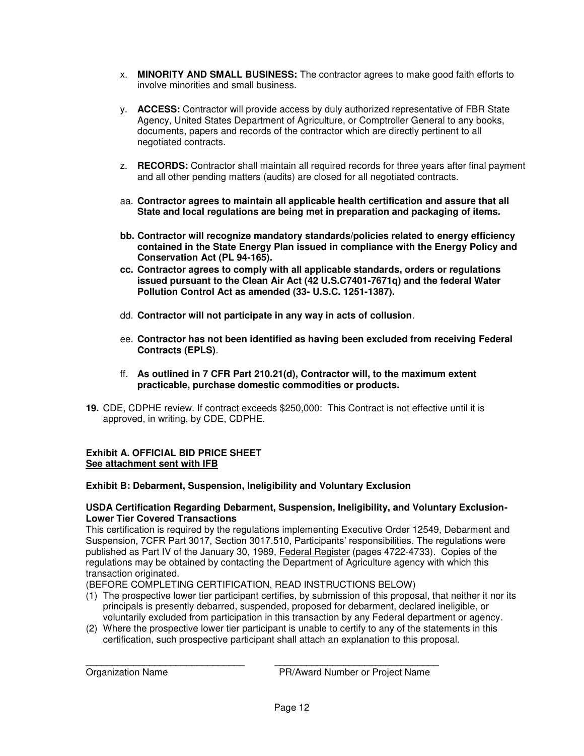- x. **MINORITY AND SMALL BUSINESS:** The contractor agrees to make good faith efforts to involve minorities and small business.
- y. **ACCESS:** Contractor will provide access by duly authorized representative of FBR State Agency, United States Department of Agriculture, or Comptroller General to any books, documents, papers and records of the contractor which are directly pertinent to all negotiated contracts.
- z. **RECORDS:** Contractor shall maintain all required records for three years after final payment and all other pending matters (audits) are closed for all negotiated contracts.
- aa. **Contractor agrees to maintain all applicable health certification and assure that all State and local regulations are being met in preparation and packaging of items.**
- **bb. Contractor will recognize mandatory standards/policies related to energy efficiency contained in the State Energy Plan issued in compliance with the Energy Policy and Conservation Act (PL 94-165).**
- **cc. Contractor agrees to comply with all applicable standards, orders or regulations issued pursuant to the Clean Air Act (42 U.S.C7401-7671q) and the federal Water Pollution Control Act as amended (33- U.S.C. 1251-1387).**
- dd. **Contractor will not participate in any way in acts of collusion**.
- ee. **Contractor has not been identified as having been excluded from receiving Federal Contracts (EPLS)**.
- ff. **As outlined in 7 CFR Part 210.21(d), Contractor will, to the maximum extent practicable, purchase domestic commodities or products.**
- **19.** CDE, CDPHE review. If contract exceeds \$250,000: This Contract is not effective until it is approved, in writing, by CDE, CDPHE.

### **Exhibit A. OFFICIAL BID PRICE SHEET See attachment sent with IFB**

### **Exhibit B: Debarment, Suspension, Ineligibility and Voluntary Exclusion**

#### **USDA Certification Regarding Debarment, Suspension, Ineligibility, and Voluntary Exclusion-Lower Tier Covered Transactions**

This certification is required by the regulations implementing Executive Order 12549, Debarment and Suspension, 7CFR Part 3017, Section 3017.510, Participants' responsibilities. The regulations were published as Part IV of the January 30, 1989, Federal Register (pages 4722-4733). Copies of the regulations may be obtained by contacting the Department of Agriculture agency with which this transaction originated.

(BEFORE COMPLETING CERTIFICATION, READ INSTRUCTIONS BELOW)

- (1) The prospective lower tier participant certifies, by submission of this proposal, that neither it nor its principals is presently debarred, suspended, proposed for debarment, declared ineligible, or voluntarily excluded from participation in this transaction by any Federal department or agency.
- (2) Where the prospective lower tier participant is unable to certify to any of the statements in this certification, such prospective participant shall attach an explanation to this proposal.

\_\_\_\_\_\_\_\_\_\_\_\_\_\_\_\_\_\_\_\_\_\_\_\_\_\_\_\_\_\_ \_\_\_\_\_\_\_\_\_\_\_\_\_\_\_\_\_\_\_\_\_\_\_\_\_\_\_\_\_\_\_ Organization Name PR/Award Number or Project Name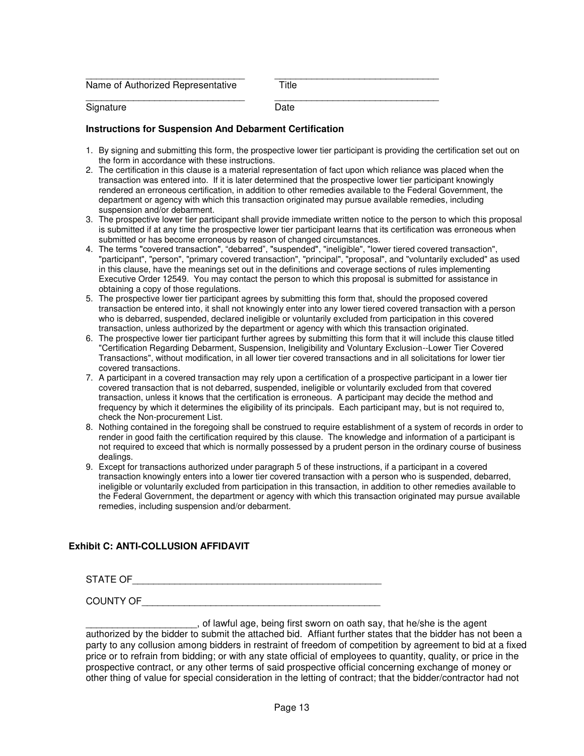| Name of Authorized Representative | Title |
|-----------------------------------|-------|
| Signature                         | Date  |

#### **Instructions for Suspension And Debarment Certification**

- 1. By signing and submitting this form, the prospective lower tier participant is providing the certification set out on the form in accordance with these instructions.
- 2. The certification in this clause is a material representation of fact upon which reliance was placed when the transaction was entered into. If it is later determined that the prospective lower tier participant knowingly rendered an erroneous certification, in addition to other remedies available to the Federal Government, the department or agency with which this transaction originated may pursue available remedies, including suspension and/or debarment.
- 3. The prospective lower tier participant shall provide immediate written notice to the person to which this proposal is submitted if at any time the prospective lower tier participant learns that its certification was erroneous when submitted or has become erroneous by reason of changed circumstances.
- 4. The terms "covered transaction", "debarred", "suspended", "ineligible", "lower tiered covered transaction", "participant", "person", "primary covered transaction", "principal", "proposal", and "voluntarily excluded" as used in this clause, have the meanings set out in the definitions and coverage sections of rules implementing Executive Order 12549. You may contact the person to which this proposal is submitted for assistance in obtaining a copy of those regulations.
- 5. The prospective lower tier participant agrees by submitting this form that, should the proposed covered transaction be entered into, it shall not knowingly enter into any lower tiered covered transaction with a person who is debarred, suspended, declared ineligible or voluntarily excluded from participation in this covered transaction, unless authorized by the department or agency with which this transaction originated.
- 6. The prospective lower tier participant further agrees by submitting this form that it will include this clause titled "Certification Regarding Debarment, Suspension, Ineligibility and Voluntary Exclusion--Lower Tier Covered Transactions", without modification, in all lower tier covered transactions and in all solicitations for lower tier covered transactions.
- 7. A participant in a covered transaction may rely upon a certification of a prospective participant in a lower tier covered transaction that is not debarred, suspended, ineligible or voluntarily excluded from that covered transaction, unless it knows that the certification is erroneous. A participant may decide the method and frequency by which it determines the eligibility of its principals. Each participant may, but is not required to, check the Non-procurement List.
- 8. Nothing contained in the foregoing shall be construed to require establishment of a system of records in order to render in good faith the certification required by this clause. The knowledge and information of a participant is not required to exceed that which is normally possessed by a prudent person in the ordinary course of business dealings.
- 9. Except for transactions authorized under paragraph 5 of these instructions, if a participant in a covered transaction knowingly enters into a lower tier covered transaction with a person who is suspended, debarred, ineligible or voluntarily excluded from participation in this transaction, in addition to other remedies available to the Federal Government, the department or agency with which this transaction originated may pursue available remedies, including suspension and/or debarment.

### **Exhibit C: ANTI-COLLUSION AFFIDAVIT**

STATE OF\_\_\_\_\_\_\_\_\_\_\_\_\_\_\_\_\_\_\_\_\_\_\_\_\_\_\_\_\_\_\_\_\_\_\_\_\_\_\_\_\_\_\_\_\_\_\_

COUNTY OF

 $\Box$ , of lawful age, being first sworn on oath say, that he/she is the agent authorized by the bidder to submit the attached bid. Affiant further states that the bidder has not been a party to any collusion among bidders in restraint of freedom of competition by agreement to bid at a fixed price or to refrain from bidding; or with any state official of employees to quantity, quality, or price in the prospective contract, or any other terms of said prospective official concerning exchange of money or other thing of value for special consideration in the letting of contract; that the bidder/contractor had not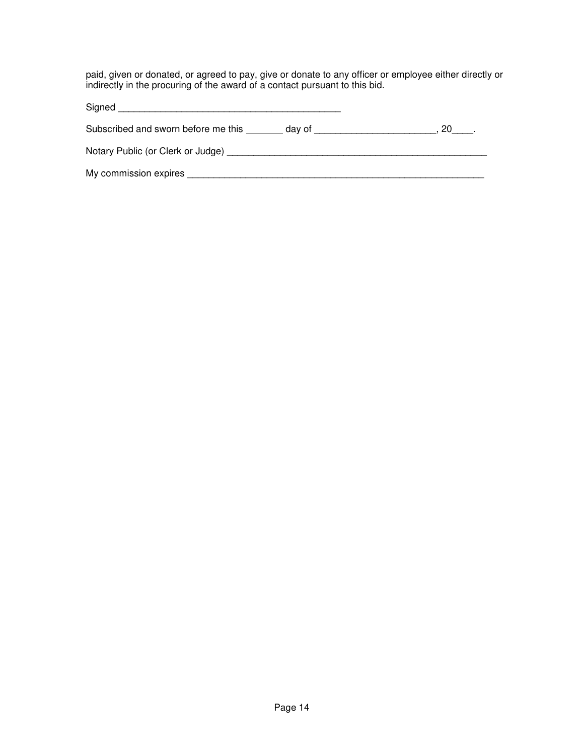paid, given or donated, or agreed to pay, give or donate to any officer or employee either directly or indirectly in the procuring of the award of a contact pursuant to this bid.

| Signed                              |        |  |
|-------------------------------------|--------|--|
| Subscribed and sworn before me this | dav of |  |
| Notary Public (or Clerk or Judge)   |        |  |
| My commission expires               |        |  |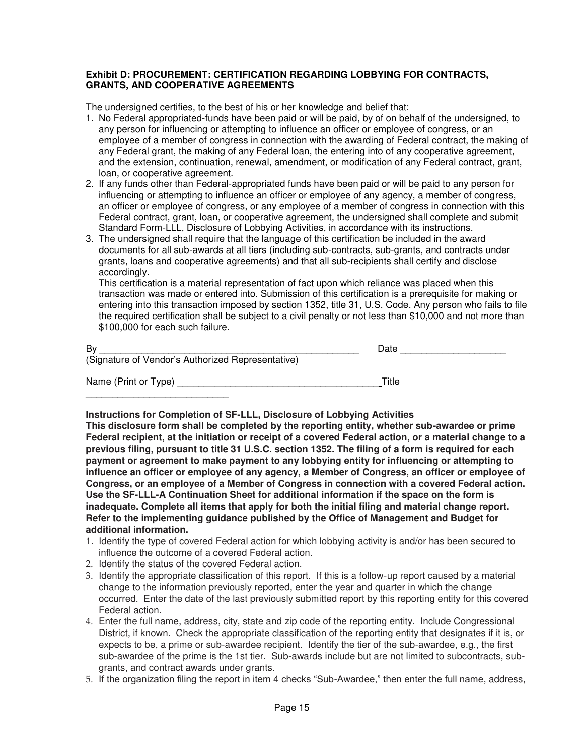#### **Exhibit D: PROCUREMENT: CERTIFICATION REGARDING LOBBYING FOR CONTRACTS, GRANTS, AND COOPERATIVE AGREEMENTS**

The undersigned certifies, to the best of his or her knowledge and belief that:

- 1. No Federal appropriated-funds have been paid or will be paid, by of on behalf of the undersigned, to any person for influencing or attempting to influence an officer or employee of congress, or an employee of a member of congress in connection with the awarding of Federal contract, the making of any Federal grant, the making of any Federal loan, the entering into of any cooperative agreement, and the extension, continuation, renewal, amendment, or modification of any Federal contract, grant, loan, or cooperative agreement.
- 2. If any funds other than Federal-appropriated funds have been paid or will be paid to any person for influencing or attempting to influence an officer or employee of any agency, a member of congress, an officer or employee of congress, or any employee of a member of congress in connection with this Federal contract, grant, loan, or cooperative agreement, the undersigned shall complete and submit Standard Form-LLL, Disclosure of Lobbying Activities, in accordance with its instructions.
- 3. The undersigned shall require that the language of this certification be included in the award documents for all sub-awards at all tiers (including sub-contracts, sub-grants, and contracts under grants, loans and cooperative agreements) and that all sub-recipients shall certify and disclose accordingly.

 This certification is a material representation of fact upon which reliance was placed when this transaction was made or entered into. Submission of this certification is a prerequisite for making or entering into this transaction imposed by section 1352, title 31, U.S. Code. Any person who fails to file the required certification shall be subject to a civil penalty or not less than \$10,000 and not more than \$100,000 for each such failure.

| By                                                | Date  |
|---------------------------------------------------|-------|
| (Signature of Vendor's Authorized Representative) |       |
| Name (Print or Type)                              | Title |

**Instructions for Completion of SF-LLL, Disclosure of Lobbying Activities**

**This disclosure form shall be completed by the reporting entity, whether sub-awardee or prime Federal recipient, at the initiation or receipt of a covered Federal action, or a material change to a previous filing, pursuant to title 31 U.S.C. section 1352. The filing of a form is required for each payment or agreement to make payment to any lobbying entity for influencing or attempting to influence an officer or employee of any agency, a Member of Congress, an officer or employee of Congress, or an employee of a Member of Congress in connection with a covered Federal action. Use the SF-LLL-A Continuation Sheet for additional information if the space on the form is inadequate. Complete all items that apply for both the initial filing and material change report. Refer to the implementing guidance published by the Office of Management and Budget for additional information.** 

- 1. Identify the type of covered Federal action for which lobbying activity is and/or has been secured to influence the outcome of a covered Federal action.
- 2. Identify the status of the covered Federal action.
- 3. Identify the appropriate classification of this report. If this is a follow-up report caused by a material change to the information previously reported, enter the year and quarter in which the change occurred. Enter the date of the last previously submitted report by this reporting entity for this covered Federal action.
- 4. Enter the full name, address, city, state and zip code of the reporting entity. Include Congressional District, if known. Check the appropriate classification of the reporting entity that designates if it is, or expects to be, a prime or sub-awardee recipient. Identify the tier of the sub-awardee, e.g., the first sub-awardee of the prime is the 1st tier. Sub-awards include but are not limited to subcontracts, subgrants, and contract awards under grants.
- 5. If the organization filing the report in item 4 checks "Sub-Awardee," then enter the full name, address,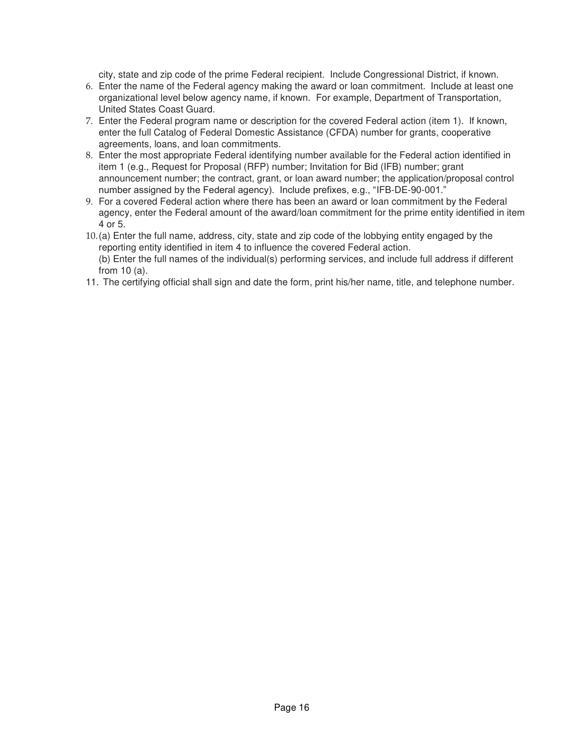city, state and zip code of the prime Federal recipient. Include Congressional District, if known.

- 6. Enter the name of the Federal agency making the award or loan commitment. Include at least one organizational level below agency name, if known. For example, Department of Transportation, United States Coast Guard.
- 7. Enter the Federal program name or description for the covered Federal action (item 1). If known, enter the full Catalog of Federal Domestic Assistance (CFDA) number for grants, cooperative agreements, loans, and loan commitments.
- 8. Enter the most appropriate Federal identifying number available for the Federal action identified in item 1 (e.g., Request for Proposal (RFP) number; Invitation for Bid (IFB) number; grant announcement number; the contract, grant, or loan award number; the application/proposal control number assigned by the Federal agency). Include prefixes, e.g., "IFB-DE-90-001."
- 9. For a covered Federal action where there has been an award or loan commitment by the Federal agency, enter the Federal amount of the award/loan commitment for the prime entity identified in item 4 or 5.
- 10. (a) Enter the full name, address, city, state and zip code of the lobbying entity engaged by the reporting entity identified in item 4 to influence the covered Federal action. (b) Enter the full names of the individual(s) performing services, and include full address if different

from 10 (a).

11. The certifying official shall sign and date the form, print his/her name, title, and telephone number.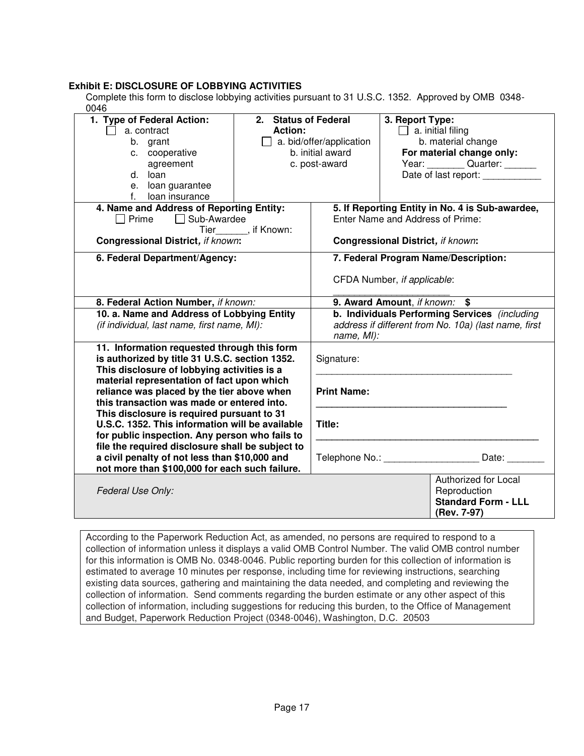### **Exhibit E: DISCLOSURE OF LOBBYING ACTIVITIES**

Complete this form to disclose lobbying activities pursuant to 31 U.S.C. 1352. Approved by OMB 0348- 0046

| 2. Status of Federal<br>1. Type of Federal Action:<br><b>Action:</b><br>a. contract                                                                                                                                                                                                       |  |                                                                    | 3. Report Type:<br>$\Box$ a. initial filing                                       |  |
|-------------------------------------------------------------------------------------------------------------------------------------------------------------------------------------------------------------------------------------------------------------------------------------------|--|--------------------------------------------------------------------|-----------------------------------------------------------------------------------|--|
| b. grant                                                                                                                                                                                                                                                                                  |  | $\Box$ a. bid/offer/application                                    | b. material change                                                                |  |
| c. cooperative                                                                                                                                                                                                                                                                            |  | b. initial award                                                   | For material change only:                                                         |  |
| agreement                                                                                                                                                                                                                                                                                 |  | Year: Quarter: ______<br>c. post-award                             |                                                                                   |  |
| d. loan                                                                                                                                                                                                                                                                                   |  |                                                                    | Date of last report:                                                              |  |
| e. loan guarantee                                                                                                                                                                                                                                                                         |  |                                                                    |                                                                                   |  |
| f. loan insurance                                                                                                                                                                                                                                                                         |  |                                                                    |                                                                                   |  |
| 4. Name and Address of Reporting Entity:                                                                                                                                                                                                                                                  |  | 5. If Reporting Entity in No. 4 is Sub-awardee,                    |                                                                                   |  |
| □ Prime □ Sub-Awardee                                                                                                                                                                                                                                                                     |  |                                                                    | Enter Name and Address of Prime:                                                  |  |
| Tier_______, if Known:<br><b>Congressional District, if known:</b>                                                                                                                                                                                                                        |  | <b>Congressional District, if known:</b>                           |                                                                                   |  |
| 6. Federal Department/Agency:                                                                                                                                                                                                                                                             |  | 7. Federal Program Name/Description:                               |                                                                                   |  |
|                                                                                                                                                                                                                                                                                           |  |                                                                    | CFDA Number, if applicable:                                                       |  |
| 8. Federal Action Number, if known:                                                                                                                                                                                                                                                       |  | 9. Award Amount, if known: \$                                      |                                                                                   |  |
| 10. a. Name and Address of Lobbying Entity                                                                                                                                                                                                                                                |  | b. Individuals Performing Services (including                      |                                                                                   |  |
| (if individual, last name, first name, MI):                                                                                                                                                                                                                                               |  | address if different from No. 10a) (last name, first<br>name, MI): |                                                                                   |  |
| 11. Information requested through this form<br>is authorized by title 31 U.S.C. section 1352.<br>This disclosure of lobbying activities is a                                                                                                                                              |  | Signature:                                                         |                                                                                   |  |
| material representation of fact upon which<br>reliance was placed by the tier above when<br>this transaction was made or entered into.<br>This disclosure is required pursuant to 31<br>U.S.C. 1352. This information will be available<br>for public inspection. Any person who fails to |  | <b>Print Name:</b>                                                 |                                                                                   |  |
|                                                                                                                                                                                                                                                                                           |  | Title:                                                             |                                                                                   |  |
| file the required disclosure shall be subject to<br>a civil penalty of not less than \$10,000 and<br>not more than \$100,000 for each such failure.                                                                                                                                       |  |                                                                    | Telephone No.: ________________________ Date: _________                           |  |
| Federal Use Only:                                                                                                                                                                                                                                                                         |  |                                                                    | Authorized for Local<br>Reproduction<br><b>Standard Form - LLL</b><br>(Rev. 7-97) |  |

According to the Paperwork Reduction Act, as amended, no persons are required to respond to a collection of information unless it displays a valid OMB Control Number. The valid OMB control number for this information is OMB No. 0348-0046. Public reporting burden for this collection of information is estimated to average 10 minutes per response, including time for reviewing instructions, searching existing data sources, gathering and maintaining the data needed, and completing and reviewing the collection of information. Send comments regarding the burden estimate or any other aspect of this collection of information, including suggestions for reducing this burden, to the Office of Management and Budget, Paperwork Reduction Project (0348-0046), Washington, D.C. 20503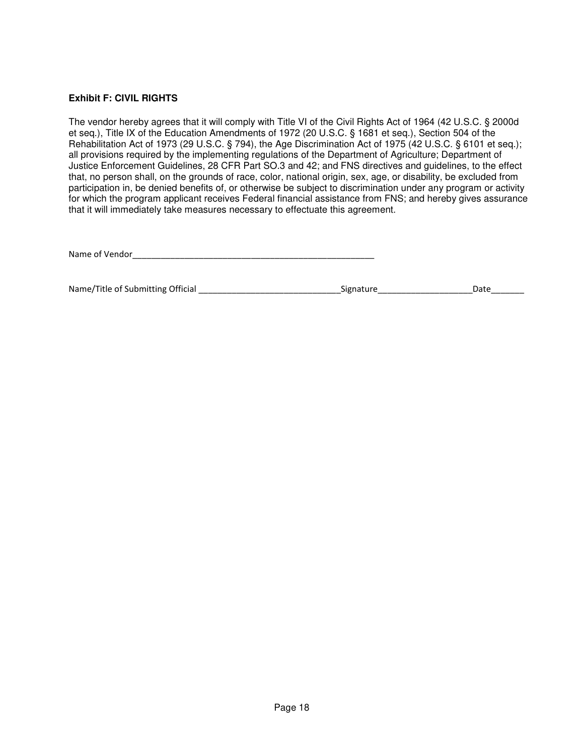#### **Exhibit F: CIVIL RIGHTS**

The vendor hereby agrees that it will comply with Title VI of the Civil Rights Act of 1964 (42 U.S.C. § 2000d et seq.), Title IX of the Education Amendments of 1972 (20 U.S.C. § 1681 et seq.), Section 504 of the Rehabilitation Act of 1973 (29 U.S.C. § 794), the Age Discrimination Act of 1975 (42 U.S.C. § 6101 et seq.); all provisions required by the implementing regulations of the Department of Agriculture; Department of Justice Enforcement Guidelines, 28 CFR Part SO.3 and 42; and FNS directives and guidelines, to the effect that, no person shall, on the grounds of race, color, national origin, sex, age, or disability, be excluded from participation in, be denied benefits of, or otherwise be subject to discrimination under any program or activity for which the program applicant receives Federal financial assistance from FNS; and hereby gives assurance that it will immediately take measures necessary to effectuate this agreement.

Name of Vendor\_\_\_\_\_\_\_\_\_\_\_\_\_\_\_\_\_\_\_\_\_\_\_\_\_\_\_\_\_\_\_\_\_\_\_\_\_\_\_\_\_\_\_\_\_\_\_\_\_\_\_

| Name/Title of Submitting Official | Signature | Date |
|-----------------------------------|-----------|------|
|                                   |           |      |